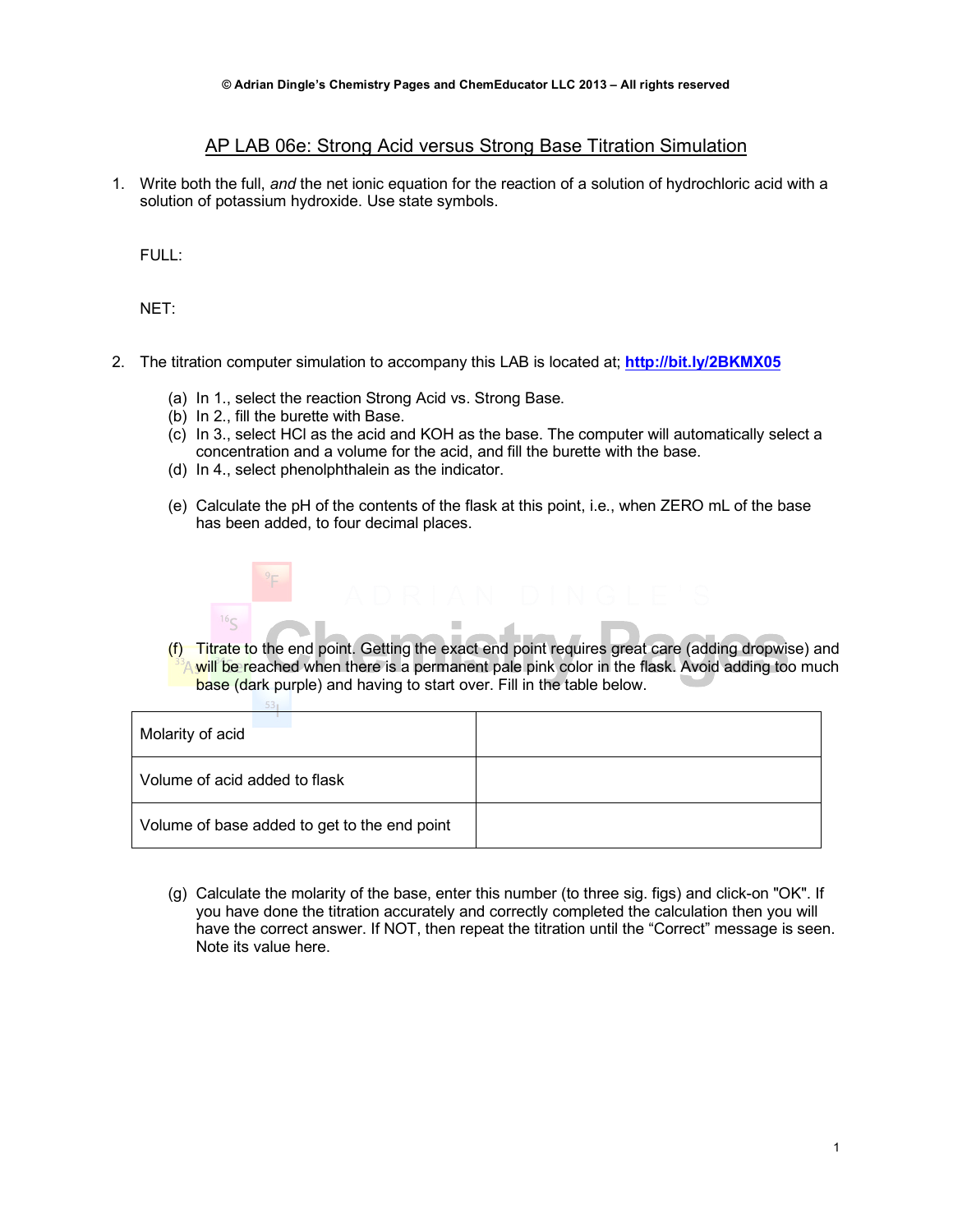## AP LAB 06e: Strong Acid versus Strong Base Titration Simulation

1. Write both the full, *and* the net ionic equation for the reaction of a solution of hydrochloric acid with a solution of potassium hydroxide. Use state symbols.

FULL:

NET:

- 2. The titration computer simulation to accompany this LAB is located at; **http://bit.ly/2BKMX05**
	- (a) In 1., select the reaction Strong Acid vs. Strong Base.
	- (b) In 2., fill the burette with Base.

 $53.$ 

- (c) In 3., select HCl as the acid and KOH as the base. The computer will automatically select a concentration and a volume for the acid, and fill the burette with the base.
- (d) In 4., select phenolphthalein as the indicator.
- (e) Calculate the pH of the contents of the flask at this point, i.e., when ZERO mL of the base has been added, to four decimal places.



(f) Titrate to the end point. Getting the exact end point requires great care (adding dropwise) and A will be reached when there is a permanent pale pink color in the flask. Avoid adding too much base (dark purple) and having to start over. Fill in the table below.

| Molarity of acid                             |  |
|----------------------------------------------|--|
| Volume of acid added to flask                |  |
| Volume of base added to get to the end point |  |

(g) Calculate the molarity of the base, enter this number (to three sig. figs) and click-on "OK". If you have done the titration accurately and correctly completed the calculation then you will have the correct answer. If NOT, then repeat the titration until the "Correct" message is seen. Note its value here.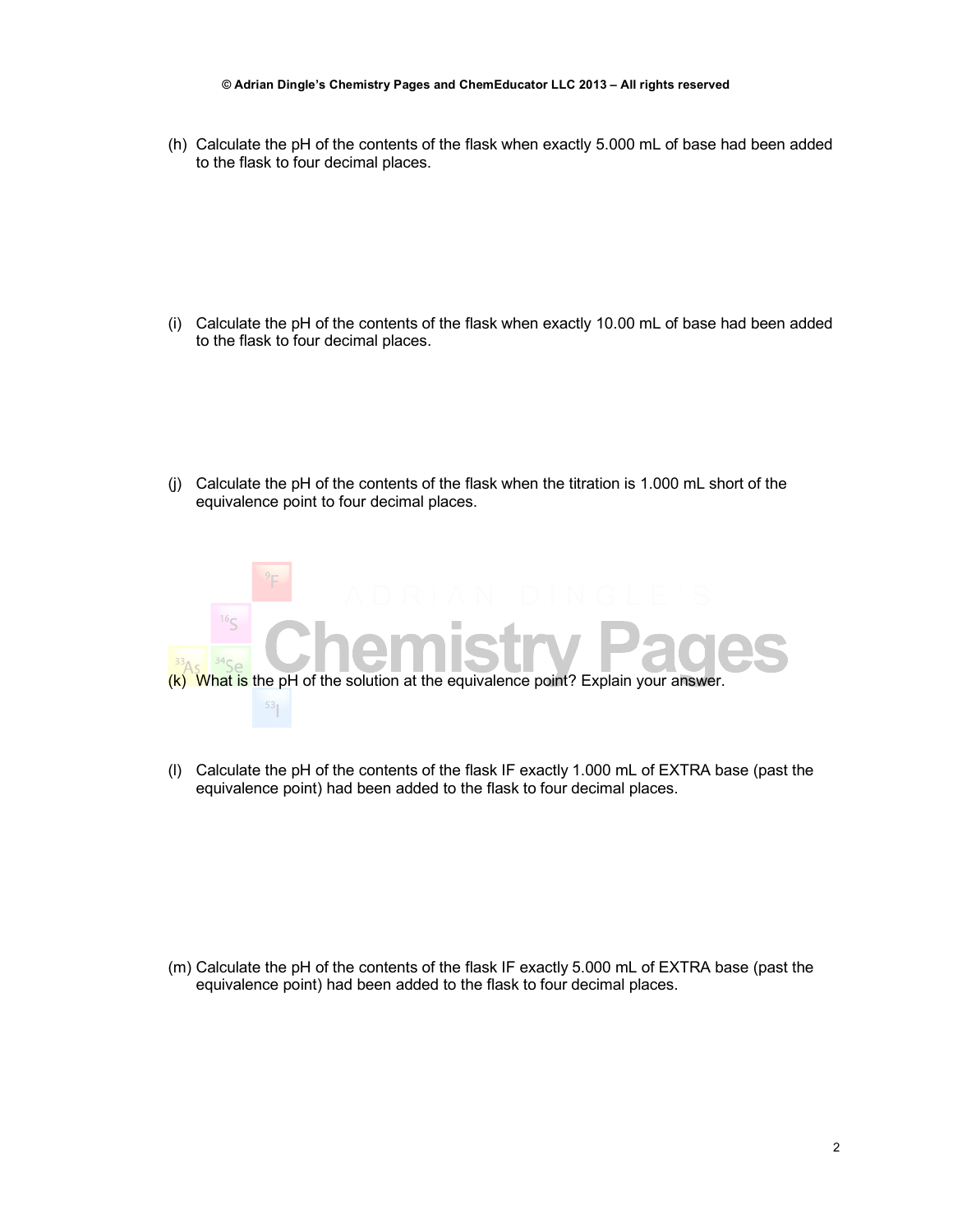## **© Adrian Dingle's Chemistry Pages and ChemEducator LLC 2013 – All rights reserved**

(h) Calculate the pH of the contents of the flask when exactly 5.000 mL of base had been added to the flask to four decimal places.

(i) Calculate the pH of the contents of the flask when exactly 10.00 mL of base had been added to the flask to four decimal places.

(j) Calculate the pH of the contents of the flask when the titration is 1.000 mL short of the equivalence point to four decimal places.



(l) Calculate the pH of the contents of the flask IF exactly 1.000 mL of EXTRA base (past the equivalence point) had been added to the flask to four decimal places.

(m) Calculate the pH of the contents of the flask IF exactly 5.000 mL of EXTRA base (past the equivalence point) had been added to the flask to four decimal places.